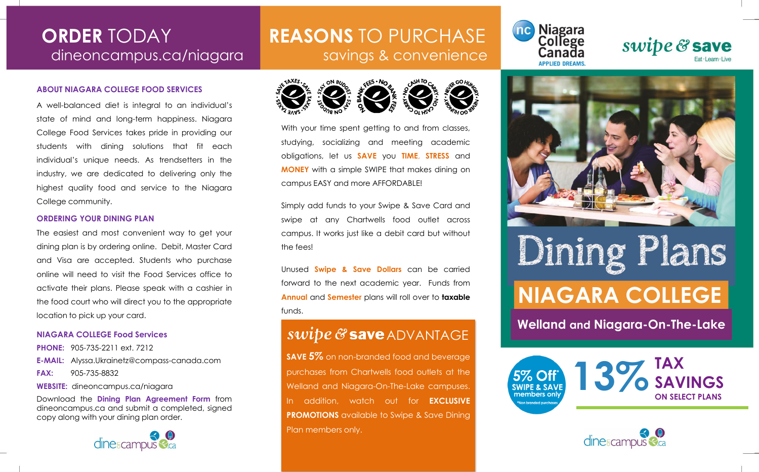### **ABOUT NIAGARA COLLEGE FOOD SERVICES**

A well-balanced diet is integral to an individual's state of mind and long-term happiness. Niagara College Food Services takes pride in providing our students with dining solutions that fit each individual's unique needs. As trendsetters in the industry, we are dedicated to delivering only the highest quality food and service to the Niagara College community.

### **ORDERING YOUR DINING PLAN**

The easiest and most convenient way to get your dining plan is by ordering online. Debit, Master Card and Visa are accepted. Students who purchase online will need to visit the Food Services office to activate their plans. Please speak with a cashier in the food court who will direct you to the appropriate location to pick up your card.

### **NIAGARA COLLEGE Food Services**

**PHONE:** 905-735-2211 ext. 7212 **E-MAIL:** Alyssa.Ukrainetz@compass-canada.com **FAX:** 905-735-8832 **WEBSITE:** dineoncampus.ca/niagara

Download the **Dining Plan Agreement Form** from dineoncampus.ca and submit a completed, signed

copy along with your dining plan order.



## **ORDER** TODAY **REASONS** TO PURCHASE dineoncampus.ca/niagara | savings & convenience



With your time spent getting to and from classes, studying, socializing and meeting academic obligations, let us **SAVE** you **TIME**, **STRESS** and **MONEY** with a simple SWIPE that makes dining on campus EASY and more AFFORDABLE!

Simply add funds to your Swipe & Save Card and swipe at any Chartwells food outlet across campus. It works just like a debit card but without the fees!

Unused **Swipe & Save Dollars** can be carried forward to the next academic year. Funds from **Annual** and **Semester** plans will roll over to **taxable** funds.

## *Swipe* & **save** ADVANTAGE

**SAVE 5%** on non-branded food and beverage purchases from Chartwells food outlets at the Welland and Niagara-On-The-Lake campuses. In addition, watch out for **EXCLUSIVE PROMOTIONS** available to Swipe & Save Dining Plan members only.







# **Dining Plans**

## **NIAGARA COLLEGE**

**Welland and Niagara-On-The-Lake**

**13%TAX** 5% O **SAVINGS SWIPE & SAVE ON SELECT PLANS**